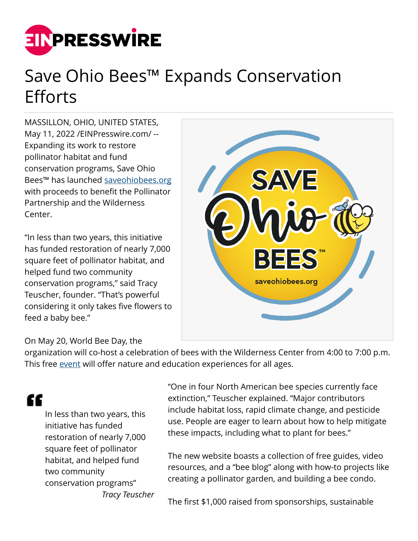

## Save Ohio Bees™ Expands Conservation **Efforts**

MASSILLON, OHIO, UNITED STATES, May 11, 2022 [/EINPresswire.com](http://www.einpresswire.com)/ -- Expanding its work to restore pollinator habitat and fund conservation programs, Save Ohio Bees™ has launched [saveohiobees.org](https://saveohiobees.org/) with proceeds to benefit the Pollinator Partnership and the Wilderness Center.

"In less than two years, this initiative has funded restoration of nearly 7,000 square feet of pollinator habitat, and helped fund two community conservation programs," said Tracy Teuscher, founder. "That's powerful considering it only takes five flowers to feed a baby bee."



## On May 20, World Bee Day, the

organization will co-host a celebration of bees with the Wilderness Center from 4:00 to 7:00 p.m. This free [event](https://wildernesscenter.org/inspire_events/world-bee-day-celebration/) will offer nature and education experiences for all ages.

## "

In less than two years, this initiative has funded restoration of nearly 7,000 square feet of pollinator habitat, and helped fund two community conservation programs" *Tracy Teuscher* "One in four North American bee species currently face extinction," Teuscher explained. "Major contributors include habitat loss, rapid climate change, and pesticide use. People are eager to learn about how to help mitigate these impacts, including what to plant for bees."

The new website boasts a collection of free guides, video resources, and a "bee blog" along with how-to projects like creating a pollinator garden, and building a bee condo.

The first \$1,000 raised from sponsorships, sustainable